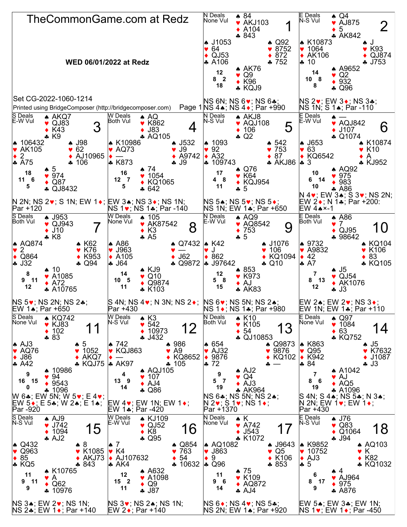